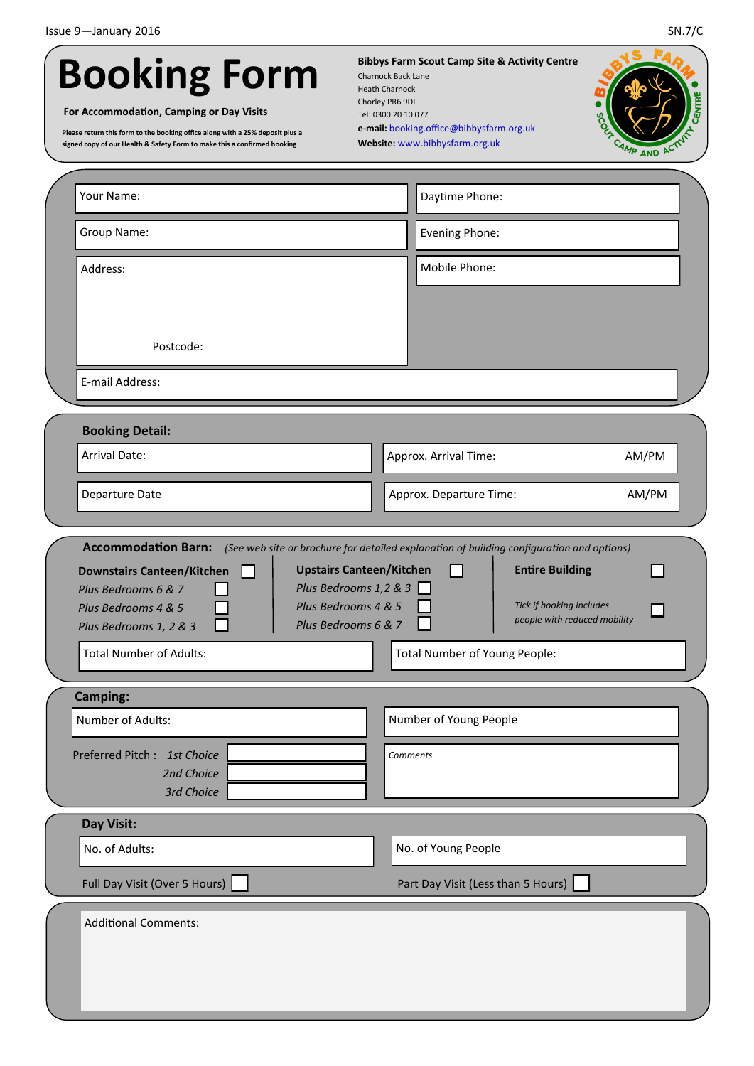## **Booking Form**

**For Accommodation, Camping or Day Visits**

**Please return this form to the booking office along with a 25% deposit plus a signed copy of our Health & Safety Form to make this a confirmed booking**

| <b>Bibbys Farm Scout Camp Site &amp; Activity Centre</b> |  |
|----------------------------------------------------------|--|
| <b>Charnock Back Lane</b>                                |  |
| <b>Heath Charnock</b>                                    |  |
| Chorley PR6 9DL                                          |  |
| Tel: 0300 20 10 077                                      |  |
| e-mail: booking.office@bibbysfarm.org.uk                 |  |
| Website: www.bibbysfarm.org.uk                           |  |
|                                                          |  |
|                                                          |  |

|          | Your Name:                                                                                                                                                                                                                                                                                      |                                  | Daytime Phone:<br>Evening Phone:                                                                                                                                                                                 |       |  |
|----------|-------------------------------------------------------------------------------------------------------------------------------------------------------------------------------------------------------------------------------------------------------------------------------------------------|----------------------------------|------------------------------------------------------------------------------------------------------------------------------------------------------------------------------------------------------------------|-------|--|
|          | Group Name:                                                                                                                                                                                                                                                                                     |                                  |                                                                                                                                                                                                                  |       |  |
| Address: |                                                                                                                                                                                                                                                                                                 |                                  | Mobile Phone:                                                                                                                                                                                                    |       |  |
|          |                                                                                                                                                                                                                                                                                                 |                                  |                                                                                                                                                                                                                  |       |  |
|          | Postcode:                                                                                                                                                                                                                                                                                       |                                  |                                                                                                                                                                                                                  |       |  |
|          | E-mail Address:                                                                                                                                                                                                                                                                                 |                                  |                                                                                                                                                                                                                  |       |  |
|          | <b>Booking Detail:</b>                                                                                                                                                                                                                                                                          |                                  |                                                                                                                                                                                                                  |       |  |
|          | <b>Arrival Date:</b>                                                                                                                                                                                                                                                                            |                                  | Approx. Arrival Time:                                                                                                                                                                                            | AM/PM |  |
|          | Departure Date                                                                                                                                                                                                                                                                                  | AM/PM<br>Approx. Departure Time: |                                                                                                                                                                                                                  |       |  |
|          | <b>Accommodation Barn:</b><br><b>Upstairs Canteen/Kitchen</b><br><b>Downstairs Canteen/Kitchen</b><br>Plus Bedrooms 1,2 & 3<br>Plus Bedrooms 6 & 7<br>Plus Bedrooms 4 & 5<br>Plus Bedrooms 4 & 5<br>Plus Bedrooms 6 & 7<br>Plus Bedrooms 1, 2 & 3<br><b>Total Number of Adults:</b><br>Camping: |                                  | (See web site or brochure for detailed explanation of building configuration and options)<br><b>Entire Building</b><br>Tick if booking includes<br>people with reduced mobility<br>Total Number of Young People: |       |  |
|          | Number of Adults:<br>Preferred Pitch : 1st Choice<br>2nd Choice<br>3rd Choice                                                                                                                                                                                                                   | <b>Comments</b>                  | Number of Young People                                                                                                                                                                                           |       |  |
|          | Day Visit:                                                                                                                                                                                                                                                                                      |                                  |                                                                                                                                                                                                                  |       |  |
|          | No. of Adults:                                                                                                                                                                                                                                                                                  |                                  | No. of Young People                                                                                                                                                                                              |       |  |
|          | Full Day Visit (Over 5 Hours)                                                                                                                                                                                                                                                                   |                                  | Part Day Visit (Less than 5 Hours)                                                                                                                                                                               |       |  |
|          | <b>Additional Comments:</b>                                                                                                                                                                                                                                                                     |                                  |                                                                                                                                                                                                                  |       |  |

CAMP AND ACT